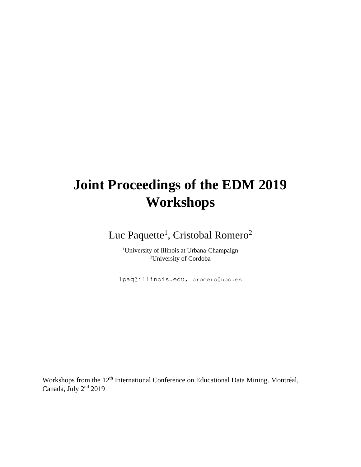## **Joint Proceedings of the EDM 2019 Workshops**

Luc Paquette<sup>1</sup>, Cristobal Romero<sup>2</sup>

<sup>1</sup>University of Illinois at Urbana-Champaign <sup>2</sup>University of Cordoba

lpaq@illinois.edu, cromero@uco.es

Workshops from the 12<sup>th</sup> International Conference on Educational Data Mining. Montréal, Canada, July 2<sup>nd</sup> 2019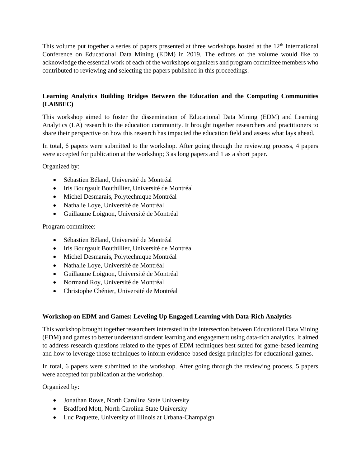This volume put together a series of papers presented at three workshops hosted at the  $12<sup>th</sup>$  International Conference on Educational Data Mining (EDM) in 2019. The editors of the volume would like to acknowledge the essential work of each of the workshops organizers and program committee members who contributed to reviewing and selecting the papers published in this proceedings.

## **Learning Analytics Building Bridges Between the Education and the Computing Communities (LABBEC)**

This workshop aimed to foster the dissemination of Educational Data Mining (EDM) and Learning Analytics (LA) research to the education community. It brought together researchers and practitioners to share their perspective on how this research has impacted the education field and assess what lays ahead.

In total, 6 papers were submitted to the workshop. After going through the reviewing process, 4 papers were accepted for publication at the workshop; 3 as long papers and 1 as a short paper.

Organized by:

- Sébastien Béland, Université de Montréal
- Iris Bourgault Bouthillier, Université de Montréal
- Michel Desmarais, Polytechnique Montréal
- Nathalie Loye, Université de Montréal
- Guillaume Loignon, Université de Montréal

Program committee:

- Sébastien Béland, Université de Montréal
- Iris Bourgault Bouthillier, Université de Montréal
- Michel Desmarais, Polytechnique Montréal
- Nathalie Loye, Université de Montréal
- Guillaume Loignon, Université de Montréal
- Normand Roy, Université de Montréal
- Christophe Chénier, Université de Montréal

## **Workshop on EDM and Games: Leveling Up Engaged Learning with Data-Rich Analytics**

This workshop brought together researchers interested in the intersection between Educational Data Mining (EDM) and games to better understand student learning and engagement using data-rich analytics. It aimed to address research questions related to the types of EDM techniques best suited for game-based learning and how to leverage those techniques to inform evidence-based design principles for educational games.

In total, 6 papers were submitted to the workshop. After going through the reviewing process, 5 papers were accepted for publication at the workshop.

Organized by:

- Jonathan Rowe, North Carolina State University
- Bradford Mott, North Carolina State University
- Luc Paquette, University of Illinois at Urbana-Champaign